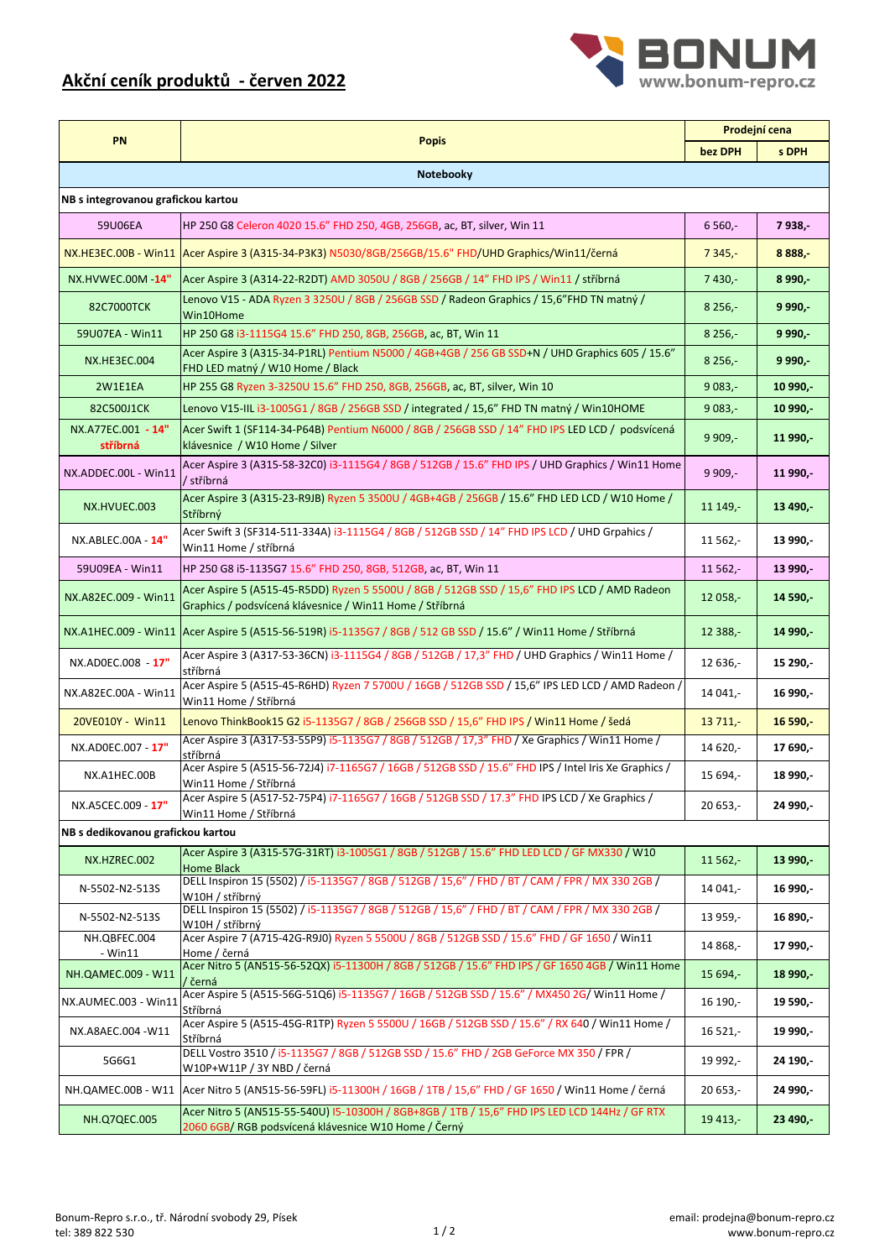## **Akční ceník produktů - červen 2022**



|                                    | <b>PN</b><br><b>Popis</b>                                                                                                                                 | Prodejní cena |           |  |  |
|------------------------------------|-----------------------------------------------------------------------------------------------------------------------------------------------------------|---------------|-----------|--|--|
|                                    |                                                                                                                                                           | bez DPH       | s DPH     |  |  |
| Notebooky                          |                                                                                                                                                           |               |           |  |  |
| NB s integrovanou grafickou kartou |                                                                                                                                                           |               |           |  |  |
| 59U06EA                            | HP 250 G8 Celeron 4020 15.6" FHD 250, 4GB, 256GB, ac, BT, silver, Win 11                                                                                  | $6560 -$      | 7938,-    |  |  |
|                                    | NX.HE3EC.00B - Win11 Acer Aspire 3 (A315-34-P3K3) N5030/8GB/256GB/15.6" FHD/UHD Graphics/Win11/černá                                                      | $7345,-$      | 8888.     |  |  |
| NX.HVWEC.00M -14"                  | Acer Aspire 3 (A314-22-R2DT) AMD 3050U / 8GB / 256GB / 14" FHD IPS / Win11 / stříbrná                                                                     | $7430,-$      | 8 9 9 0,- |  |  |
| 82C7000TCK                         | Lenovo V15 - ADA Ryzen 3 3250U / 8GB / 256GB SSD / Radeon Graphics / 15,6"FHD TN matný /<br>Win10Home                                                     | $8256,-$      | 9990.     |  |  |
| 59U07EA - Win11                    | HP 250 G8 i3-1115G4 15.6" FHD 250, 8GB, 256GB, ac, BT, Win 11                                                                                             | $8256,-$      | 9990.     |  |  |
| NX.HE3EC.004                       | Acer Aspire 3 (A315-34-P1RL) Pentium N5000 / 4GB+4GB / 256 GB SSD+N / UHD Graphics 605 / 15.6"<br>FHD LED matný / W10 Home / Black                        | $8256,-$      | 9990.     |  |  |
| 2W1E1EA                            | HP 255 G8 Ryzen 3-3250U 15.6" FHD 250, 8GB, 256GB, ac, BT, silver, Win 10                                                                                 | $9083,-$      | 10990.    |  |  |
| 82C500J1CK                         | Lenovo V15-IIL i3-1005G1 / 8GB / 256GB SSD / integrated / 15,6" FHD TN matný / Win10HOME                                                                  | $9083,-$      | 10990.    |  |  |
| NX.A77EC.001 - 14"<br>stříbrná     | Acer Swift 1 (SF114-34-P64B) Pentium N6000 / 8GB / 256GB SSD / 14" FHD IPS LED LCD / podsvícená<br>klávesnice / W10 Home / Silver                         | $9909,-$      | 11990.    |  |  |
| NX.ADDEC.00L - Win11               | Acer Aspire 3 (A315-58-32C0) i3-1115G4 / 8GB / 512GB / 15.6" FHD IPS / UHD Graphics / Win11 Home<br>/ stříbrná                                            | $9909 -$      | 11 990,-  |  |  |
| NX.HVUEC.003                       | Acer Aspire 3 (A315-23-R9JB) Ryzen 5 3500U / 4GB+4GB / 256GB / 15.6" FHD LED LCD / W10 Home /<br>Stříbrný                                                 | 11 149,-      | 13490.    |  |  |
| NX.ABLEC.00A - 14"                 | Acer Swift 3 (SF314-511-334A) i3-1115G4 / 8GB / 512GB SSD / 14" FHD IPS LCD / UHD Grpahics /<br>Win11 Home / stříbrná                                     | 11 562,-      | 13 990,-  |  |  |
| 59U09EA - Win11                    | HP 250 G8 i5-1135G7 15.6" FHD 250, 8GB, 512GB, ac, BT, Win 11                                                                                             | $11562,-$     | 13990.    |  |  |
| NX.A82EC.009 - Win11               | Acer Aspire 5 (A515-45-R5DD) Ryzen 5 5500U / 8GB / 512GB SSD / 15,6" FHD IPS LCD / AMD Radeon<br>Graphics / podsvícená klávesnice / Win11 Home / Stříbrná | 12 058,-      | 14590.    |  |  |
|                                    | NX.A1HEC.009 - Win11 Acer Aspire 5 (A515-56-519R) i5-1135G7 / 8GB / 512 GB SSD / 15.6" / Win11 Home / Stříbrná                                            | 12 388,-      | 14990.    |  |  |
| NX.AD0EC.008 - 17"                 | Acer Aspire 3 (A317-53-36CN) i3-1115G4 / 8GB / 512GB / 17,3" FHD / UHD Graphics / Win11 Home /<br>stříbrná                                                | 12 636,-      | 15 290,-  |  |  |
| NX.A82EC.00A - Win11               | Acer Aspire 5 (A515-45-R6HD) Ryzen 7 5700U / 16GB / 512GB SSD / 15,6" IPS LED LCD / AMD Radeon /<br>Win11 Home / Stříbrná                                 | 14 041,-      | 16 990,-  |  |  |
| 20VE010Y - Win11                   | Lenovo ThinkBook15 G2 i5-1135G7 / 8GB / 256GB SSD / 15,6" FHD IPS / Win11 Home / šedá                                                                     | 13711.        | 16590.    |  |  |
| NX.AD0EC.007 - 17"                 | Acer Aspire 3 (A317-53-55P9) i5-1135G7 / 8GB / 512GB / 17,3" FHD / Xe Graphics / Win11 Home /<br>stříbrná                                                 | 14 620.-      | 17 690,   |  |  |
| NX.A1HEC.00B                       | Acer Aspire 5 (A515-56-72J4) i7-1165G7 / 16GB / 512GB SSD / 15.6" FHD IPS / Intel Iris Xe Graphics /<br>Win11 Home / Stříbrná                             | 15 694,-      | 18 990,-  |  |  |
| NX.A5CEC.009 - 17"                 | Acer Aspire 5 (A517-52-75P4) i7-1165G7 / 16GB / 512GB SSD / 17.3" FHD IPS LCD / Xe Graphics /<br>Win11 Home / Stříbrná                                    | 20 653,-      | 24 990,-  |  |  |
| NB s dedikovanou grafickou kartou  |                                                                                                                                                           |               |           |  |  |
| NX.HZREC.002                       | Acer Aspire 3 (A315-57G-31RT) i3-1005G1 / 8GB / 512GB / 15.6" FHD LED LCD / GF MX330 / W10<br>Home Black                                                  | $11562,-$     | $13990 -$ |  |  |
| N-5502-N2-513S                     | DELL Inspiron 15 (5502) / i5-1135G7 / 8GB / 512GB / 15,6" / FHD / BT / CAM / FPR / MX 330 2GB /<br>W10H / stříbrný                                        | 14 041,-      | 16 990,-  |  |  |
| N-5502-N2-513S                     | DELL Inspiron 15 (5502) / i5-1135G7 / 8GB / 512GB / 15,6" / FHD / BT / CAM / FPR / MX 330 2GB /<br>W10H / stříbrný                                        | 13 959,-      | 16 890,-  |  |  |
| NH.QBFEC.004<br>- Win11            | Acer Aspire 7 (A715-42G-R9J0) Ryzen 5 5500U / 8GB / 512GB SSD / 15.6" FHD / GF 1650 / Win11<br>Home / černá                                               | 14 868,-      | 17 990,-  |  |  |
| NH.QAMEC.009 - W11                 | Acer Nitro 5 (AN515-56-52QX) i5-11300H / 8GB / 512GB / 15.6" FHD IPS / GF 1650 4GB / Win11 Home                                                           | 15 694,-      | $18990 -$ |  |  |
| NX.AUMEC.003 - Win11               | / černá<br>Acer Aspire 5 (A515-56G-51Q6) i5-1135G7 / 16GB / 512GB SSD / 15.6" / MX450 2G/ Win11 Home /<br>Stříbrná                                        | 16 190,-      | 19 590,-  |  |  |
| NX.A8AEC.004 - W11                 | Acer Aspire 5 (A515-45G-R1TP) Ryzen 5 5500U / 16GB / 512GB SSD / 15.6" / RX 640 / Win11 Home /<br>Stříbrná                                                | 16 521,-      | 19 990,-  |  |  |
| 5G6G1                              | DELL Vostro 3510 / i5-1135G7 / 8GB / 512GB SSD / 15.6" FHD / 2GB GeForce MX 350 / FPR /<br>W10P+W11P / 3Y NBD / černá                                     | 19 992,-      | 24 190,-  |  |  |
|                                    | NH.QAMEC.00B - W11   Acer Nitro 5 (AN515-56-59FL) i5-11300H / 16GB / 1TB / 15,6" FHD / GF 1650 / Win11 Home / černá                                       | 20 653,-      | 24 990,-  |  |  |
| NH.Q7QEC.005                       | Acer Nitro 5 (AN515-55-540U) I5-10300H / 8GB+8GB / 1TB / 15,6" FHD IPS LED LCD 144Hz / GF RTX<br>2060 6GB/RGB podsvícená klávesnice W10 Home / Černý      | 19 413,-      | 23 490,-  |  |  |